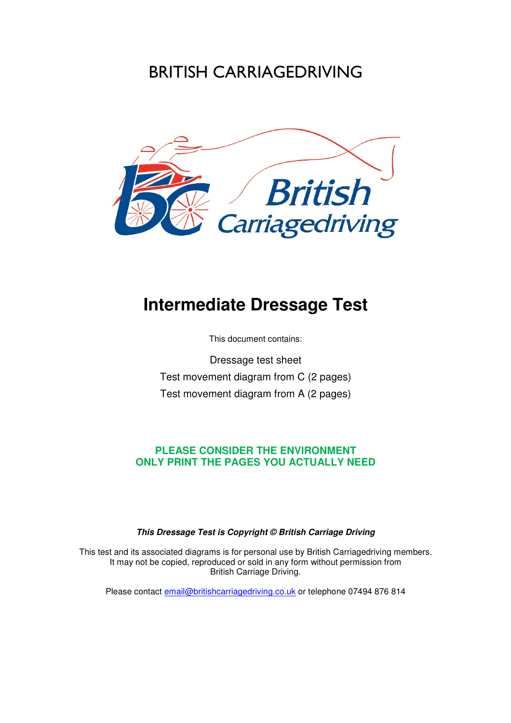## BRITISH CARRIAGEDRIVING



## **Intermediate Dressage Test**

This document contains:

Dressage test sheet Test movement diagram from C (2 pages) Test movement diagram from A (2 pages)

### **PLEASE CONSIDER THE ENVIRONMENT ONLY PRINT THE PAGES YOU ACTUALLY NEED**

### **This Dressage Test is Copyright © British Carriage Driving**

This test and its associated diagrams is for personal use by British Carriagedriving members. It may not be copied, reproduced or sold in any form without permission from British Carriage Driving.

Please contact **email@britishcarriagedriving.co.uk** or telephone 07494 876 814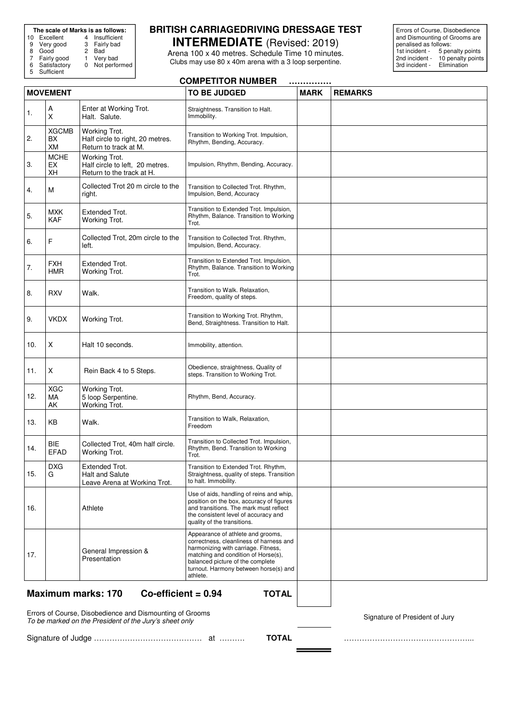# **The scale of Marks is as follows:**<br>
10 Excellent 4 Insufficient<br>
9 Very good 3 Fairly bad

9 Very good 3 Fairly bad

10 Excellent 4 Insufficient

- 
- 

8 Good 2 Bad<br>7 Fairly good 1 Very bad

Not performed

### 7 Fairly good 1<br>6 Satisfactory 0<br>5 Sufficient **Sufficient**

## **BRITISH CARRIAGEDRIVING DRESSAGE TEST**

**INTERMEDIATE** (Revised: 2019) Arena 100 x 40 metres. Schedule Time 10 minutes. Clubs may use 80 x 40m arena with a 3 loop serpentine.

Errors of Course, Disobedience and Dismounting of Grooms are penalised as follows: 1st incident - 5 penalty points 1200 1201 1202<br>121 Incident - 10 penalty points<br>2nd incident - 10 penalty points<br>3rd incident - Elimination 3rd incident -

| <b>COMPETITOR NUMBER</b><br> |                                 |                                                                               |                                                                                                                                                                                                                                                     |             |                |
|------------------------------|---------------------------------|-------------------------------------------------------------------------------|-----------------------------------------------------------------------------------------------------------------------------------------------------------------------------------------------------------------------------------------------------|-------------|----------------|
| <b>MOVEMENT</b>              |                                 |                                                                               | <b>TO BE JUDGED</b>                                                                                                                                                                                                                                 | <b>MARK</b> | <b>REMARKS</b> |
| 1.                           | A<br>X                          | Enter at Working Trot.<br>Halt. Salute.                                       | Straightness. Transition to Halt.<br>Immobility.                                                                                                                                                                                                    |             |                |
| 2.                           | <b>XGCMB</b><br>BX<br><b>XM</b> | Working Trot.<br>Half circle to right, 20 metres.<br>Return to track at M.    | Transition to Working Trot. Impulsion,<br>Rhythm, Bending, Accuracy.                                                                                                                                                                                |             |                |
| 3.                           | <b>MCHE</b><br>EX<br>XH         | Working Trot.<br>Half circle to left, 20 metres.<br>Return to the track at H. | Impulsion, Rhythm, Bending, Accuracy.                                                                                                                                                                                                               |             |                |
| 4.                           | M                               | Collected Trot 20 m circle to the<br>right.                                   | Transition to Collected Trot. Rhythm,<br>Impulsion, Bend, Accuracy                                                                                                                                                                                  |             |                |
| 5.                           | <b>MXK</b><br><b>KAF</b>        | <b>Extended Trot.</b><br>Working Trot.                                        | Transition to Extended Trot. Impulsion,<br>Rhythm, Balance. Transition to Working<br>Trot.                                                                                                                                                          |             |                |
| 6.                           | F                               | Collected Trot, 20m circle to the<br>left.                                    | Transition to Collected Trot. Rhythm,<br>Impulsion, Bend, Accuracy.                                                                                                                                                                                 |             |                |
| 7.                           | <b>FXH</b><br><b>HMR</b>        | Extended Trot.<br>Working Trot.                                               | Transition to Extended Trot. Impulsion,<br>Rhythm, Balance. Transition to Working<br>Trot.                                                                                                                                                          |             |                |
| 8.                           | <b>RXV</b>                      | Walk.                                                                         | Transition to Walk. Relaxation,<br>Freedom, quality of steps.                                                                                                                                                                                       |             |                |
| 9.                           | <b>VKDX</b>                     | Working Trot.                                                                 | Transition to Working Trot. Rhythm,<br>Bend, Straightness. Transition to Halt.                                                                                                                                                                      |             |                |
| 10.                          | X                               | Halt 10 seconds.                                                              | Immobility, attention.                                                                                                                                                                                                                              |             |                |
| 11.                          | X                               | Rein Back 4 to 5 Steps.                                                       | Obedience, straightness, Quality of<br>steps. Transition to Working Trot.                                                                                                                                                                           |             |                |
| 12.                          | <b>XGC</b><br>MA<br>AK          | Working Trot.<br>5 loop Serpentine.<br>Working Trot.                          | Rhythm, Bend, Accuracy.                                                                                                                                                                                                                             |             |                |
| 13.                          | KB                              | Walk.                                                                         | Transition to Walk, Relaxation,<br>Freedom                                                                                                                                                                                                          |             |                |
| 14.                          | <b>BIE</b><br><b>EFAD</b>       | Collected Trot, 40m half circle.<br>Working Trot.                             | Transition to Collected Trot. Impulsion,<br>Rhythm, Bend. Transition to Working<br>Trot.                                                                                                                                                            |             |                |
| 15.                          | <b>DXG</b><br>G                 | Extended Trot.<br><b>Halt and Salute</b><br>Leave Arena at Working Trot.      | Transition to Extended Trot. Rhythm,<br>Straightness, quality of steps. Transition<br>to halt. Immobility.                                                                                                                                          |             |                |
| 16.                          |                                 | Athlete                                                                       | Use of aids, handling of reins and whip,<br>position on the box, accuracy of figures<br>and transitions. The mark must reflect<br>the consistent level of accuracy and<br>quality of the transitions.                                               |             |                |
| 17.                          |                                 | General Impression &<br>Presentation                                          | Appearance of athlete and grooms,<br>correctness, cleanliness of harness and<br>harmonizing with carriage. Fitness,<br>matching and condition of Horse(s),<br>balanced picture of the complete<br>turnout. Harmony between horse(s) and<br>athlete. |             |                |
|                              |                                 | <b>Maximum marks: 170</b><br>Co-efficient = $0.94$                            | <b>TOTAL</b>                                                                                                                                                                                                                                        |             |                |

Errors of Course, Disobedience and Dismounting of Grooms<br>To be marked on the President of the Jury's sheet only

Signature of Judge …………………………………… at ………. **TOTAL** …………………………………………...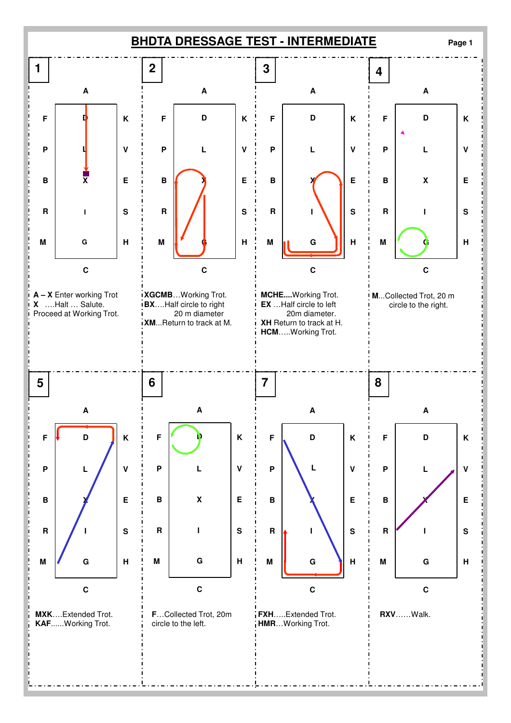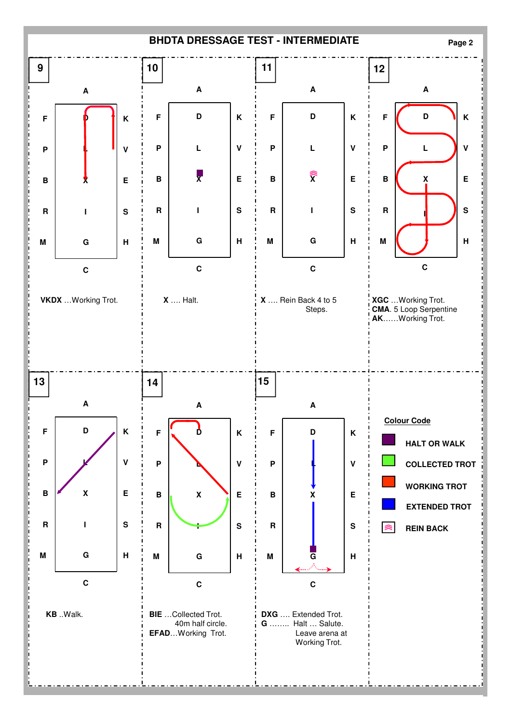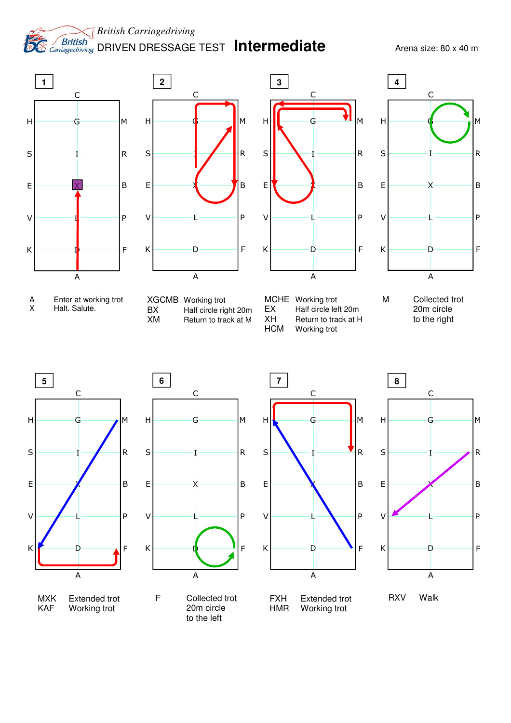*British Carriagedriving*  **DESEMBRISHED DRIVEN DRESSAGE TEST Intermediate** Arena size: 80 x 40 m





- A Enter at working trot<br>X Halt. Salute. Halt. Salute.
- XGCMB Working trot<br>BX Half circle ric BX Half circle right 20m<br>
XM Return to track at M Return to track at M



MCHE Working trot EX Half circle left 20m<br>XH Return to track at H XH Return to track at H<br>HCM Working trot Working trot















RXV Walk